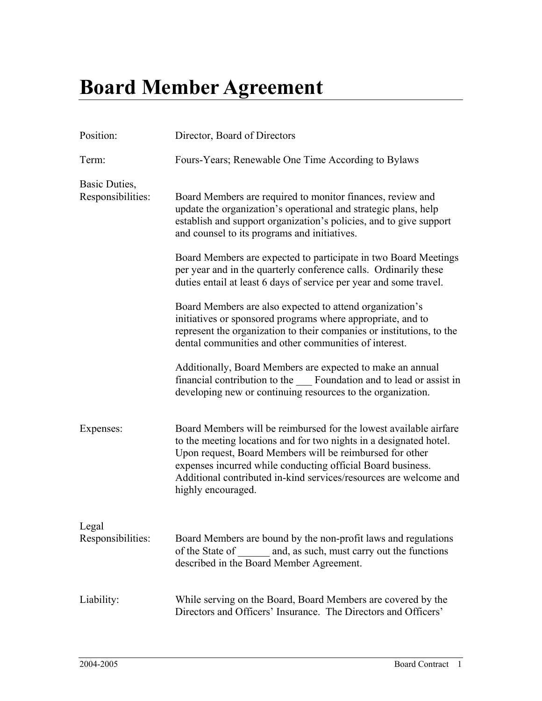## **Board Member Agreement**

| Position:                          | Director, Board of Directors                                                                                                                                                                                                                                                                                                                                  |
|------------------------------------|---------------------------------------------------------------------------------------------------------------------------------------------------------------------------------------------------------------------------------------------------------------------------------------------------------------------------------------------------------------|
| Term:                              | Fours-Years; Renewable One Time According to Bylaws                                                                                                                                                                                                                                                                                                           |
| Basic Duties,<br>Responsibilities: | Board Members are required to monitor finances, review and<br>update the organization's operational and strategic plans, help<br>establish and support organization's policies, and to give support<br>and counsel to its programs and initiatives.                                                                                                           |
|                                    | Board Members are expected to participate in two Board Meetings<br>per year and in the quarterly conference calls. Ordinarily these<br>duties entail at least 6 days of service per year and some travel.                                                                                                                                                     |
|                                    | Board Members are also expected to attend organization's<br>initiatives or sponsored programs where appropriate, and to<br>represent the organization to their companies or institutions, to the<br>dental communities and other communities of interest.                                                                                                     |
|                                    | Additionally, Board Members are expected to make an annual<br>financial contribution to the Foundation and to lead or assist in<br>developing new or continuing resources to the organization.                                                                                                                                                                |
| Expenses:                          | Board Members will be reimbursed for the lowest available airfare<br>to the meeting locations and for two nights in a designated hotel.<br>Upon request, Board Members will be reimbursed for other<br>expenses incurred while conducting official Board business.<br>Additional contributed in-kind services/resources are welcome and<br>highly encouraged. |
| Legal<br>Responsibilities:         | Board Members are bound by the non-profit laws and regulations<br>of the State of<br>and, as such, must carry out the functions<br>described in the Board Member Agreement.                                                                                                                                                                                   |
| Liability:                         | While serving on the Board, Board Members are covered by the<br>Directors and Officers' Insurance. The Directors and Officers'                                                                                                                                                                                                                                |